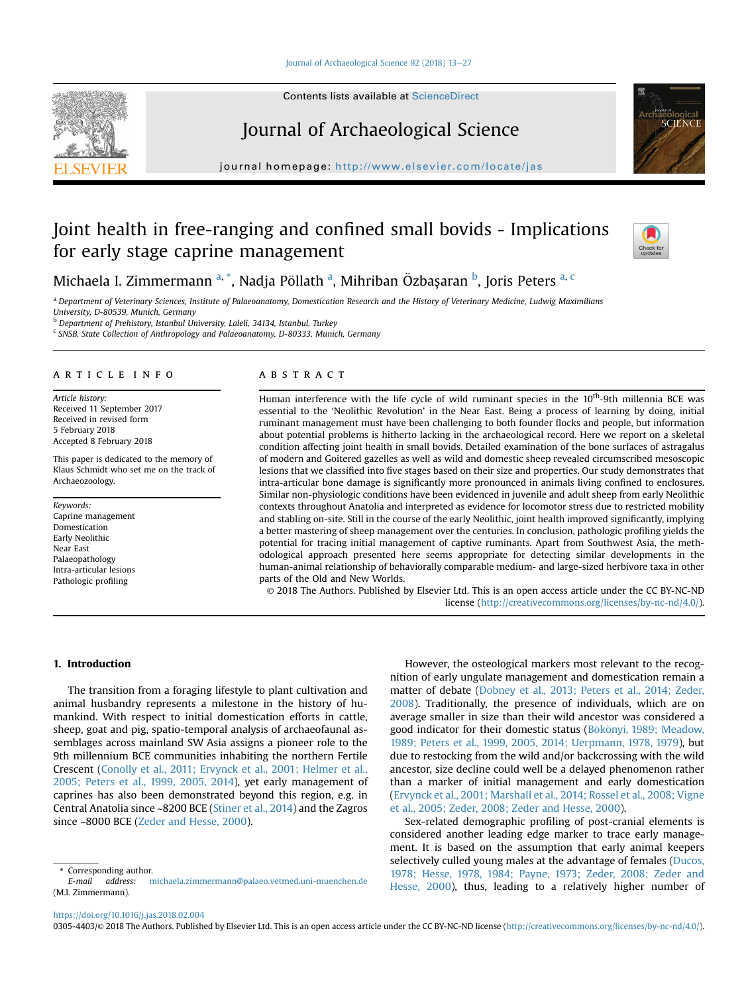## [Journal of Archaeological Science 92 \(2018\) 13](https://doi.org/10.1016/j.jas.2018.02.004)-[27](https://doi.org/10.1016/j.jas.2018.02.004)



Contents lists available at ScienceDirect

# Journal of Archaeological Science

journal homepage: <http://www.elsevier.com/locate/jas>

## Joint health in free-ranging and confined small bovids - Implications for early stage caprine management



**SCIENCI** 

Michaela I. Zimmermann <sup>a, \*</sup>, Nadja Pöllath <sup>a</sup>, Mihriban Özbaşaran <sup>b</sup>, Joris Peters <sup>a, c</sup>

a Department of Veterinary Sciences, Institute of Palaeoanatomy, Domestication Research and the History of Veterinary Medicine, Ludwig Maximilians University, D-80539, Munich, Germany

b Department of Prehistory, Istanbul University, Laleli, 34134, Istanbul, Turkey

<sup>c</sup> SNSB, State Collection of Anthropology and Palaeoanatomy, D-80333, Munich, Germany

## article info

Article history: Received 11 September 2017 Received in revised form 5 February 2018 Accepted 8 February 2018

This paper is dedicated to the memory of Klaus Schmidt who set me on the track of Archaeozoology.

## Keywords: Caprine management Domestication Early Neolithic Near East Palaeopathology Intra-articular lesions Pathologic profiling

## ABSTRACT

Human interference with the life cycle of wild ruminant species in the 10<sup>th</sup>-9th millennia BCE was essential to the 'Neolithic Revolution' in the Near East. Being a process of learning by doing, initial ruminant management must have been challenging to both founder flocks and people, but information about potential problems is hitherto lacking in the archaeological record. Here we report on a skeletal condition affecting joint health in small bovids. Detailed examination of the bone surfaces of astragalus of modern and Goitered gazelles as well as wild and domestic sheep revealed circumscribed mesoscopic lesions that we classified into five stages based on their size and properties. Our study demonstrates that intra-articular bone damage is significantly more pronounced in animals living confined to enclosures. Similar non-physiologic conditions have been evidenced in juvenile and adult sheep from early Neolithic contexts throughout Anatolia and interpreted as evidence for locomotor stress due to restricted mobility and stabling on-site. Still in the course of the early Neolithic, joint health improved significantly, implying a better mastering of sheep management over the centuries. In conclusion, pathologic profiling yields the potential for tracing initial management of captive ruminants. Apart from Southwest Asia, the methodological approach presented here seems appropriate for detecting similar developments in the human-animal relationship of behaviorally comparable medium- and large-sized herbivore taxa in other parts of the Old and New Worlds.

© 2018 The Authors. Published by Elsevier Ltd. This is an open access article under the CC BY-NC-ND license [\(http://creativecommons.org/licenses/by-nc-nd/4.0/](http://creativecommons.org/licenses/by-nc-nd/4.0/)).

## 1. Introduction

The transition from a foraging lifestyle to plant cultivation and animal husbandry represents a milestone in the history of humankind. With respect to initial domestication efforts in cattle, sheep, goat and pig, spatio-temporal analysis of archaeofaunal assemblages across mainland SW Asia assigns a pioneer role to the 9th millennium BCE communities inhabiting the northern Fertile Crescent (Conolly et al., 2011; Ervynck et al., 2001; Helmer et al., 2005; Peters et al., 1999, 2005, 2014), yet early management of caprines has also been demonstrated beyond this region, e.g. in Central Anatolia since ~8200 BCE (Stiner et al., 2014) and the Zagros since ~8000 BCE (Zeder and Hesse, 2000).

However, the osteological markers most relevant to the recognition of early ungulate management and domestication remain a matter of debate (Dobney et al., 2013; Peters et al., 2014; Zeder, 2008). Traditionally, the presence of individuals, which are on average smaller in size than their wild ancestor was considered a good indicator for their domestic status (Bökönyi, 1989; Meadow, 1989; Peters et al., 1999, 2005, 2014; Uerpmann, 1978, 1979), but due to restocking from the wild and/or backcrossing with the wild ancestor, size decline could well be a delayed phenomenon rather than a marker of initial management and early domestication (Ervynck et al., 2001; Marshall et al., 2014; Rossel et al., 2008; Vigne et al., 2005; Zeder, 2008; Zeder and Hesse, 2000).

Sex-related demographic profiling of post-cranial elements is considered another leading edge marker to trace early management. It is based on the assumption that early animal keepers selectively culled young males at the advantage of females (Ducos, 1978; Hesse, 1978, 1984; Payne, 1973; Zeder, 2008; Zeder and Hesse, 2000), thus, leading to a relatively higher number of

0305-4403/© 2018 The Authors. Published by Elsevier Ltd. This is an open access article under the CC BY-NC-ND license ([http://creativecommons.org/licenses/by-nc-nd/4.0/\)](http://creativecommons.org/licenses/by-nc-nd/4.0/).

Corresponding author.

E-mail address: [michaela.zimmermann@palaeo.vetmed.uni-muenchen.de](mailto:michaela.zimmermann@palaeo.vetmed.uni-muenchen.de) (M.I. Zimmermann).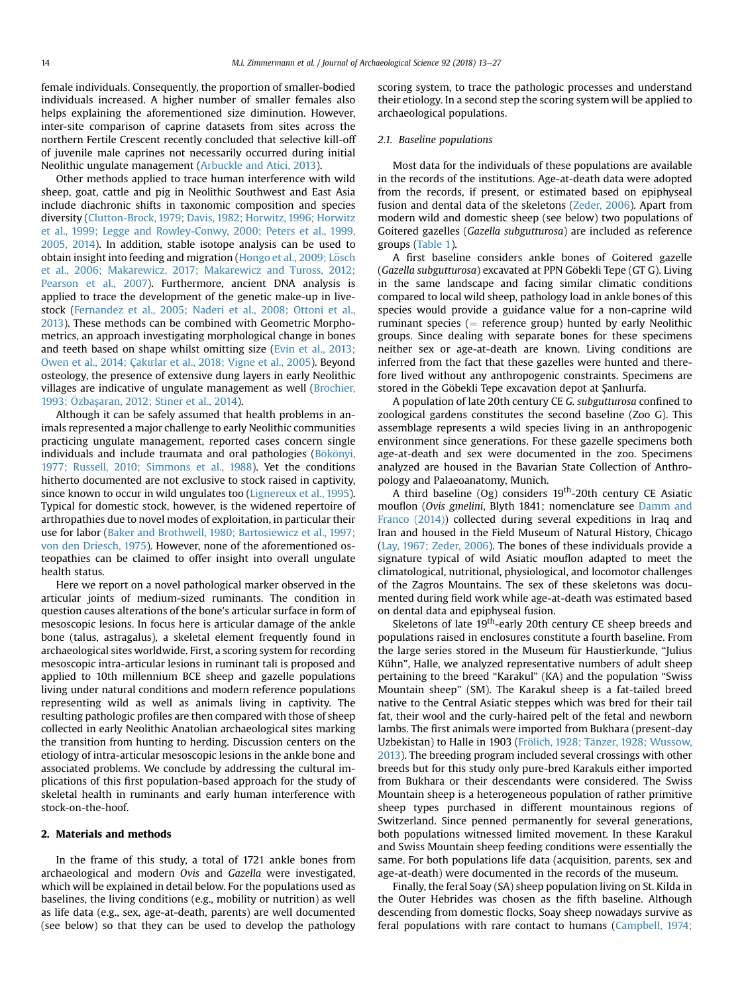female individuals. Consequently, the proportion of smaller-bodied individuals increased. A higher number of smaller females also helps explaining the aforementioned size diminution. However, inter-site comparison of caprine datasets from sites across the northern Fertile Crescent recently concluded that selective kill-off of juvenile male caprines not necessarily occurred during initial Neolithic ungulate management (Arbuckle and Atici, 2013).

Other methods applied to trace human interference with wild sheep, goat, cattle and pig in Neolithic Southwest and East Asia include diachronic shifts in taxonomic composition and species diversity (Clutton-Brock, 1979; Davis, 1982; Horwitz, 1996; Horwitz et al., 1999; Legge and Rowley-Conwy, 2000; Peters et al., 1999, 2005, 2014). In addition, stable isotope analysis can be used to obtain insight into feeding and migration (Hongo et al., 2009; Lösch et al., 2006; Makarewicz, 2017; Makarewicz and Tuross, 2012; Pearson et al., 2007). Furthermore, ancient DNA analysis is applied to trace the development of the genetic make-up in livestock (Fernandez et al., 2005; Naderi et al., 2008; Ottoni et al., 2013). These methods can be combined with Geometric Morphometrics, an approach investigating morphological change in bones and teeth based on shape whilst omitting size (Evin et al., 2013; Owen et al., 2014; Çakırlar et al., 2018; Vigne et al., 2005). Beyond osteology, the presence of extensive dung layers in early Neolithic villages are indicative of ungulate management as well (Brochier, 1993; Özbaşaran, 2012; Stiner et al., 2014).

Although it can be safely assumed that health problems in animals represented a major challenge to early Neolithic communities practicing ungulate management, reported cases concern single individuals and include traumata and oral pathologies (Bökönyi, 1977; Russell, 2010; Simmons et al., 1988). Yet the conditions hitherto documented are not exclusive to stock raised in captivity, since known to occur in wild ungulates too (Lignereux et al., 1995). Typical for domestic stock, however, is the widened repertoire of arthropathies due to novel modes of exploitation, in particular their use for labor (Baker and Brothwell, 1980; Bartosiewicz et al., 1997; von den Driesch, 1975). However, none of the aforementioned osteopathies can be claimed to offer insight into overall ungulate health status.

Here we report on a novel pathological marker observed in the articular joints of medium-sized ruminants. The condition in question causes alterations of the bone's articular surface in form of mesoscopic lesions. In focus here is articular damage of the ankle bone (talus, astragalus), a skeletal element frequently found in archaeological sites worldwide. First, a scoring system for recording mesoscopic intra-articular lesions in ruminant tali is proposed and applied to 10th millennium BCE sheep and gazelle populations living under natural conditions and modern reference populations representing wild as well as animals living in captivity. The resulting pathologic profiles are then compared with those of sheep collected in early Neolithic Anatolian archaeological sites marking the transition from hunting to herding. Discussion centers on the etiology of intra-articular mesoscopic lesions in the ankle bone and associated problems. We conclude by addressing the cultural implications of this first population-based approach for the study of skeletal health in ruminants and early human interference with stock-on-the-hoof.

### 2. Materials and methods

In the frame of this study, a total of 1721 ankle bones from archaeological and modern Ovis and Gazella were investigated, which will be explained in detail below. For the populations used as baselines, the living conditions (e.g., mobility or nutrition) as well as life data (e.g., sex, age-at-death, parents) are well documented (see below) so that they can be used to develop the pathology scoring system, to trace the pathologic processes and understand their etiology. In a second step the scoring system will be applied to archaeological populations.

## 2.1. Baseline populations

Most data for the individuals of these populations are available in the records of the institutions. Age-at-death data were adopted from the records, if present, or estimated based on epiphyseal fusion and dental data of the skeletons (Zeder, 2006). Apart from modern wild and domestic sheep (see below) two populations of Goitered gazelles (Gazella subgutturosa) are included as reference groups (Table 1).

A first baseline considers ankle bones of Goitered gazelle (Gazella subgutturosa) excavated at PPN Göbekli Tepe (GT G). Living in the same landscape and facing similar climatic conditions compared to local wild sheep, pathology load in ankle bones of this species would provide a guidance value for a non-caprine wild ruminant species ( $=$  reference group) hunted by early Neolithic groups. Since dealing with separate bones for these specimens neither sex or age-at-death are known. Living conditions are inferred from the fact that these gazelles were hunted and therefore lived without any anthropogenic constraints. Specimens are stored in the Göbekli Tepe excavation depot at Şanlıurfa.

A population of late 20th century CE G. subgutturosa confined to zoological gardens constitutes the second baseline (Zoo G). This assemblage represents a wild species living in an anthropogenic environment since generations. For these gazelle specimens both age-at-death and sex were documented in the zoo. Specimens analyzed are housed in the Bavarian State Collection of Anthropology and Palaeoanatomy, Munich.

A third baseline  $(Og)$  considers 19<sup>th</sup>-20th century CE Asiatic mouflon (Ovis gmelini, Blyth 1841; nomenclature see Damm and Franco (2014)) collected during several expeditions in Iraq and Iran and housed in the Field Museum of Natural History, Chicago (Lay, 1967; Zeder, 2006). The bones of these individuals provide a signature typical of wild Asiatic mouflon adapted to meet the climatological, nutritional, physiological, and locomotor challenges of the Zagros Mountains. The sex of these skeletons was documented during field work while age-at-death was estimated based on dental data and epiphyseal fusion.

Skeletons of late  $19<sup>th</sup>$ -early 20th century CE sheep breeds and populations raised in enclosures constitute a fourth baseline. From the large series stored in the Museum für Haustierkunde, "Julius Kühn", Halle, we analyzed representative numbers of adult sheep pertaining to the breed "Karakul" (KA) and the population "Swiss Mountain sheep" (SM). The Karakul sheep is a fat-tailed breed native to the Central Asiatic steppes which was bred for their tail fat, their wool and the curly-haired pelt of the fetal and newborn lambs. The first animals were imported from Bukhara (present-day Uzbekistan) to Halle in 1903 (Frölich, 1928; Tänzer, 1928; Wussow, 2013). The breeding program included several crossings with other breeds but for this study only pure-bred Karakuls either imported from Bukhara or their descendants were considered. The Swiss Mountain sheep is a heterogeneous population of rather primitive sheep types purchased in different mountainous regions of Switzerland. Since penned permanently for several generations, both populations witnessed limited movement. In these Karakul and Swiss Mountain sheep feeding conditions were essentially the same. For both populations life data (acquisition, parents, sex and age-at-death) were documented in the records of the museum.

Finally, the feral Soay (SA) sheep population living on St. Kilda in the Outer Hebrides was chosen as the fifth baseline. Although descending from domestic flocks, Soay sheep nowadays survive as feral populations with rare contact to humans (Campbell, 1974;